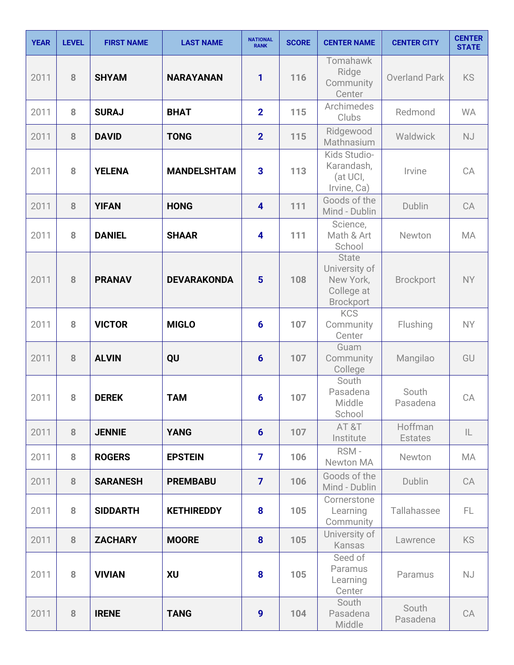| <b>YEAR</b> | <b>LEVEL</b> | <b>FIRST NAME</b> | <b>LAST NAME</b>   | <b>NATIONAL</b><br><b>RANK</b> | <b>SCORE</b> | <b>CENTER NAME</b>                                                           | <b>CENTER CITY</b>        | <b>CENTER</b><br><b>STATE</b> |
|-------------|--------------|-------------------|--------------------|--------------------------------|--------------|------------------------------------------------------------------------------|---------------------------|-------------------------------|
| 2011        | 8            | <b>SHYAM</b>      | <b>NARAYANAN</b>   | 1                              | 116          | Tomahawk<br>Ridge<br>Community<br>Center                                     | <b>Overland Park</b>      | <b>KS</b>                     |
| 2011        | 8            | <b>SURAJ</b>      | <b>BHAT</b>        | $\overline{2}$                 | 115          | Archimedes<br>Clubs                                                          | Redmond                   | <b>WA</b>                     |
| 2011        | 8            | <b>DAVID</b>      | <b>TONG</b>        | $\overline{2}$                 | 115          | Ridgewood<br>Mathnasium                                                      | Waldwick                  | <b>NJ</b>                     |
| 2011        | 8            | <b>YELENA</b>     | <b>MANDELSHTAM</b> | 3                              | 113          | Kids Studio-<br>Karandash,<br>(at UCI,<br>Irvine, Ca)                        | Irvine                    | CA                            |
| 2011        | 8            | <b>YIFAN</b>      | <b>HONG</b>        | $\overline{\mathbf{4}}$        | 111          | Goods of the<br>Mind - Dublin                                                | Dublin                    | CA                            |
| 2011        | 8            | <b>DANIEL</b>     | <b>SHAAR</b>       | 4                              | 111          | Science,<br>Math & Art<br>School                                             | Newton                    | MA                            |
| 2011        | 8            | <b>PRANAV</b>     | <b>DEVARAKONDA</b> | $5\phantom{1}$                 | 108          | <b>State</b><br>University of<br>New York,<br>College at<br><b>Brockport</b> | <b>Brockport</b>          | <b>NY</b>                     |
| 2011        | 8            | <b>VICTOR</b>     | <b>MIGLO</b>       | $6\phantom{1}6$                | 107          | <b>KCS</b><br>Community<br>Center                                            | Flushing                  | <b>NY</b>                     |
| 2011        | 8            | <b>ALVIN</b>      | QU                 | $6\phantom{1}6$                | 107          | Guam<br>Community<br>College                                                 | Mangilao                  | GU                            |
| 2011        | 8            | <b>DEREK</b>      | <b>TAM</b>         | 6                              | 107          | South<br>Pasadena<br>Middle<br>School                                        | South<br>Pasadena         | CA                            |
| 2011        | 8            | <b>JENNIE</b>     | <b>YANG</b>        | $6\phantom{1}$                 | 107          | AT&T<br>Institute                                                            | Hoffman<br><b>Estates</b> | $\mathsf{IL}$                 |
| 2011        | 8            | <b>ROGERS</b>     | <b>EPSTEIN</b>     | $\overline{7}$                 | 106          | RSM-<br>Newton MA                                                            | Newton                    | MA                            |
| 2011        | 8            | <b>SARANESH</b>   | <b>PREMBABU</b>    | $\overline{7}$                 | 106          | Goods of the<br>Mind - Dublin                                                | Dublin                    | CA                            |
| 2011        | 8            | <b>SIDDARTH</b>   | <b>KETHIREDDY</b>  | 8                              | 105          | Cornerstone<br>Learning<br>Community                                         | Tallahassee               | FL.                           |
| 2011        | 8            | <b>ZACHARY</b>    | <b>MOORE</b>       | 8                              | 105          | University of<br>Kansas                                                      | Lawrence                  | <b>KS</b>                     |
| 2011        | 8            | <b>VIVIAN</b>     | <b>XU</b>          | 8                              | 105          | Seed of<br>Paramus<br>Learning<br>Center                                     | Paramus                   | <b>NJ</b>                     |
| 2011        | 8            | <b>IRENE</b>      | <b>TANG</b>        | 9                              | 104          | South<br>Pasadena<br>Middle                                                  | South<br>Pasadena         | CA                            |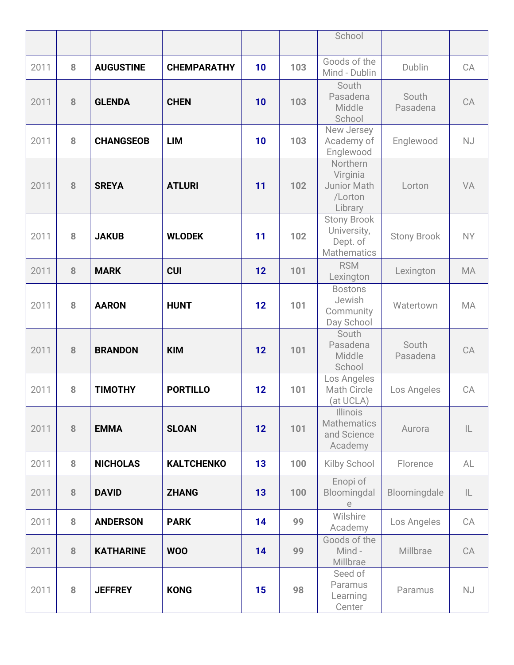|      |   |                  |                    |    |     | School                                                              |                    |               |
|------|---|------------------|--------------------|----|-----|---------------------------------------------------------------------|--------------------|---------------|
| 2011 | 8 | <b>AUGUSTINE</b> | <b>CHEMPARATHY</b> | 10 | 103 | Goods of the<br>Mind - Dublin                                       | Dublin             | CA            |
| 2011 | 8 | <b>GLENDA</b>    | <b>CHEN</b>        | 10 | 103 | South<br>Pasadena<br>Middle<br>School                               | South<br>Pasadena  | CA            |
| 2011 | 8 | <b>CHANGSEOB</b> | <b>LIM</b>         | 10 | 103 | New Jersey<br>Academy of<br>Englewood                               | Englewood          | <b>NJ</b>     |
| 2011 | 8 | <b>SREYA</b>     | <b>ATLURI</b>      | 11 | 102 | Northern<br>Virginia<br>Junior Math<br>/Lorton<br>Library           | Lorton             | VA            |
| 2011 | 8 | <b>JAKUB</b>     | <b>WLODEK</b>      | 11 | 102 | <b>Stony Brook</b><br>University,<br>Dept. of<br><b>Mathematics</b> | <b>Stony Brook</b> | <b>NY</b>     |
| 2011 | 8 | <b>MARK</b>      | <b>CUI</b>         | 12 | 101 | <b>RSM</b><br>Lexington                                             | Lexington          | MA            |
| 2011 | 8 | <b>AARON</b>     | <b>HUNT</b>        | 12 | 101 | <b>Bostons</b><br>Jewish<br>Community<br>Day School                 | Watertown          | <b>MA</b>     |
| 2011 | 8 | <b>BRANDON</b>   | <b>KIM</b>         | 12 | 101 | South<br>Pasadena<br>Middle<br>School                               | South<br>Pasadena  | CA            |
| 2011 | 8 | <b>TIMOTHY</b>   | <b>PORTILLO</b>    | 12 | 101 | Los Angeles<br><b>Math Circle</b><br>(at UCLA)                      | Los Angeles        | CA            |
| 2011 | 8 | <b>EMMA</b>      | <b>SLOAN</b>       | 12 | 101 | <b>Illinois</b><br><b>Mathematics</b><br>and Science<br>Academy     | Aurora             | $\mathsf{IL}$ |
| 2011 | 8 | <b>NICHOLAS</b>  | <b>KALTCHENKO</b>  | 13 | 100 | Kilby School                                                        | Florence           | AL            |
| 2011 | 8 | <b>DAVID</b>     | <b>ZHANG</b>       | 13 | 100 | Enopi of<br>Bloomingdal<br>е                                        | Bloomingdale       | $\mathsf{IL}$ |
| 2011 | 8 | <b>ANDERSON</b>  | <b>PARK</b>        | 14 | 99  | Wilshire<br>Academy                                                 | Los Angeles        | CA            |
| 2011 | 8 | <b>KATHARINE</b> | <b>WOO</b>         | 14 | 99  | Goods of the<br>Mind -<br>Millbrae                                  | Millbrae           | CA            |
| 2011 | 8 | <b>JEFFREY</b>   | <b>KONG</b>        | 15 | 98  | Seed of<br>Paramus<br>Learning<br>Center                            | Paramus            | <b>NJ</b>     |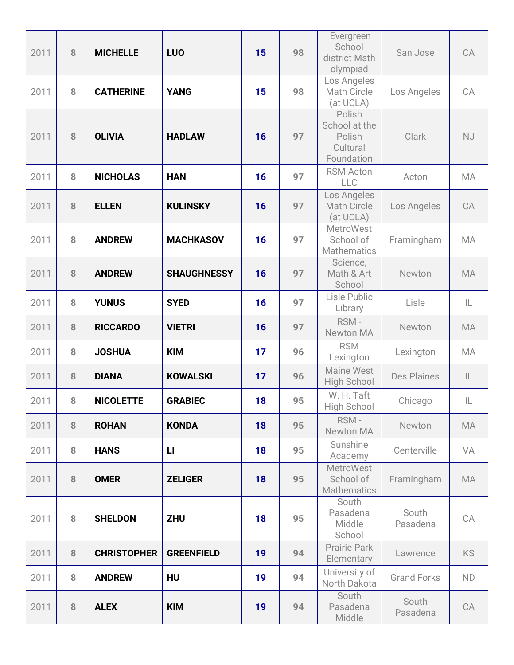| 2011 | 8 | <b>MICHELLE</b>    | <b>LUO</b>         | 15 | 98 | Evergreen<br>School<br>district Math<br>olympiad            | San Jose           | CA        |
|------|---|--------------------|--------------------|----|----|-------------------------------------------------------------|--------------------|-----------|
| 2011 | 8 | <b>CATHERINE</b>   | <b>YANG</b>        | 15 | 98 | Los Angeles<br>Math Circle<br>(at UCLA)                     | Los Angeles        | CA        |
| 2011 | 8 | <b>OLIVIA</b>      | <b>HADLAW</b>      | 16 | 97 | Polish<br>School at the<br>Polish<br>Cultural<br>Foundation | <b>Clark</b>       | NJ        |
| 2011 | 8 | <b>NICHOLAS</b>    | <b>HAN</b>         | 16 | 97 | RSM-Acton<br><b>LLC</b>                                     | Acton              | <b>MA</b> |
| 2011 | 8 | <b>ELLEN</b>       | <b>KULINSKY</b>    | 16 | 97 | Los Angeles<br><b>Math Circle</b><br>(at UCLA)              | Los Angeles        | CA        |
| 2011 | 8 | <b>ANDREW</b>      | <b>MACHKASOV</b>   | 16 | 97 | <b>MetroWest</b><br>School of<br><b>Mathematics</b>         | Framingham         | <b>MA</b> |
| 2011 | 8 | <b>ANDREW</b>      | <b>SHAUGHNESSY</b> | 16 | 97 | Science,<br>Math & Art<br>School                            | Newton             | <b>MA</b> |
| 2011 | 8 | <b>YUNUS</b>       | <b>SYED</b>        | 16 | 97 | Lisle Public<br>Library                                     | Lisle              | IL        |
| 2011 | 8 | <b>RICCARDO</b>    | <b>VIETRI</b>      | 16 | 97 | RSM-<br><b>Newton MA</b>                                    | Newton             | <b>MA</b> |
| 2011 | 8 | <b>JOSHUA</b>      | <b>KIM</b>         | 17 | 96 | <b>RSM</b><br>Lexington                                     | Lexington          | MA        |
| 2011 | 8 | <b>DIANA</b>       | <b>KOWALSKI</b>    | 17 | 96 | <b>Maine West</b><br><b>High School</b>                     | <b>Des Plaines</b> | IL        |
| 2011 | 8 | <b>NICOLETTE</b>   | <b>GRABIEC</b>     | 18 | 95 | W. H. Taft<br>High School                                   | Chicago            | IL        |
| 2011 | 8 | <b>ROHAN</b>       | <b>KONDA</b>       | 18 | 95 | RSM-<br>Newton MA                                           | Newton             | MA        |
| 2011 | 8 | <b>HANS</b>        | $\mathsf{L}$       | 18 | 95 | Sunshine<br>Academy                                         | Centerville        | VA        |
| 2011 | 8 | <b>OMER</b>        | <b>ZELIGER</b>     | 18 | 95 | <b>MetroWest</b><br>School of<br><b>Mathematics</b>         | Framingham         | <b>MA</b> |
| 2011 | 8 | <b>SHELDON</b>     | <b>ZHU</b>         | 18 | 95 | South<br>Pasadena<br>Middle<br>School                       | South<br>Pasadena  | CA        |
| 2011 | 8 | <b>CHRISTOPHER</b> | <b>GREENFIELD</b>  | 19 | 94 | <b>Prairie Park</b><br>Elementary                           | Lawrence           | KS        |
| 2011 | 8 | <b>ANDREW</b>      | HU                 | 19 | 94 | University of<br>North Dakota                               | <b>Grand Forks</b> | ND        |
| 2011 | 8 | <b>ALEX</b>        | <b>KIM</b>         | 19 | 94 | South<br>Pasadena<br>Middle                                 | South<br>Pasadena  | CA        |